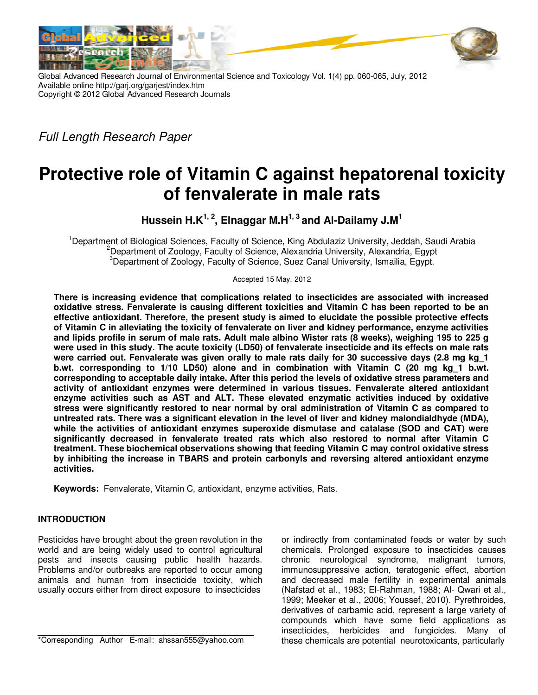

Global Advanced Research Journal of Environmental Science and Toxicology Vol. 1(4) pp. 060-065, July, 2012 Available online http://garj.org/garjest/index.htm Copyright © 2012 Global Advanced Research Journals

Full Length Research Paper

# **Protective role of Vitamin C against hepatorenal toxicity of fenvalerate in male rats**

**Hussein H.K1, 2, Elnaggar M.H1, 3 and Al-Dailamy J.M<sup>1</sup>**

<sup>1</sup>Department of Biological Sciences, Faculty of Science, King Abdulaziz University, Jeddah, Saudi Arabia <sup>2</sup>Department of Zoology, Faculty of Science, Alexandria University, Alexandria, Egypt <sup>3</sup>Department of Zoology, Faculty of Science, Suez Canal University, Ismailia, Egypt.

Accepted 15 May, 2012

**There is increasing evidence that complications related to insecticides are associated with increased oxidative stress. Fenvalerate is causing different toxicities and Vitamin C has been reported to be an effective antioxidant. Therefore, the present study is aimed to elucidate the possible protective effects of Vitamin C in alleviating the toxicity of fenvalerate on liver and kidney performance, enzyme activities and lipids profile in serum of male rats. Adult male albino Wister rats (8 weeks), weighing 195 to 225 g were used in this study. The acute toxicity (LD50) of fenvalerate insecticide and its effects on male rats were carried out. Fenvalerate was given orally to male rats daily for 30 successive days (2.8 mg kg\_1 b.wt. corresponding to 1/10 LD50) alone and in combination with Vitamin C (20 mg kg\_1 b.wt. corresponding to acceptable daily intake. After this period the levels of oxidative stress parameters and activity of antioxidant enzymes were determined in various tissues. Fenvalerate altered antioxidant enzyme activities such as AST and ALT. These elevated enzymatic activities induced by oxidative stress were significantly restored to near normal by oral administration of Vitamin C as compared to untreated rats. There was a significant elevation in the level of liver and kidney malondialdhyde (MDA), while the activities of antioxidant enzymes superoxide dismutase and catalase (SOD and CAT) were significantly decreased in fenvalerate treated rats which also restored to normal after Vitamin C treatment. These biochemical observations showing that feeding Vitamin C may control oxidative stress by inhibiting the increase in TBARS and protein carbonyls and reversing altered antioxidant enzyme activities.** 

**Keywords:** Fenvalerate, Vitamin C, antioxidant, enzyme activities, Rats.

## **INTRODUCTION**

Pesticides have brought about the green revolution in the world and are being widely used to control agricultural pests and insects causing public health hazards. Problems and/or outbreaks are reported to occur among animals and human from insecticide toxicity, which usually occurs either from direct exposure to insecticides

\*Corresponding Author E-mail: ahssan555@yahoo.com

or indirectly from contaminated feeds or water by such chemicals. Prolonged exposure to insecticides causes chronic neurological syndrome, malignant tumors, immunosuppressive action, teratogenic effect, abortion and decreased male fertility in experimental animals (Nafstad et al., 1983; El-Rahman, 1988; Al- Qwari et al., 1999; Meeker et al., 2006; Youssef, 2010). Pyrethroides, derivatives of carbamic acid, represent a large variety of compounds which have some field applications as insecticides, herbicides and fungicides. Many of these chemicals are potential neurotoxicants, particularly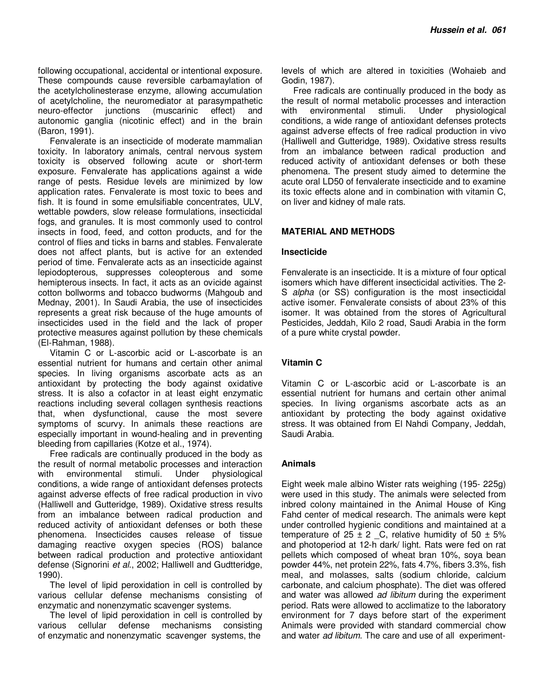following occupational, accidental or intentional exposure. These compounds cause reversible carbamaylation of the acetylcholinesterase enzyme, allowing accumulation of acetylcholine, the neuromediator at parasympathetic neuro-effector junctions (muscarinic effect) and autonomic ganglia (nicotinic effect) and in the brain (Baron, 1991).

Fenvalerate is an insecticide of moderate mammalian toxicity. In laboratory animals, central nervous system toxicity is observed following acute or short-term exposure. Fenvalerate has applications against a wide range of pests. Residue levels are minimized by low application rates. Fenvalerate is most toxic to bees and fish. It is found in some emulsifiable concentrates, ULV, wettable powders, slow release formulations, insecticidal fogs, and granules. It is most commonly used to control insects in food, feed, and cotton products, and for the control of flies and ticks in barns and stables. Fenvalerate does not affect plants, but is active for an extended period of time. Fenvalerate acts as an insecticide against lepiodopterous, suppresses coleopterous and some hemipterous insects. In fact, it acts as an ovicide against cotton bollworms and tobacco budworms (Mahgoub and Mednay, 2001). In Saudi Arabia, the use of insecticides represents a great risk because of the huge amounts of insecticides used in the field and the lack of proper protective measures against pollution by these chemicals (El-Rahman, 1988).

Vitamin C or L-ascorbic acid or L-ascorbate is an essential nutrient for humans and certain other animal species. In living organisms ascorbate acts as an antioxidant by protecting the body against oxidative stress. It is also a cofactor in at least eight enzymatic reactions including several collagen synthesis reactions that, when dysfunctional, cause the most severe symptoms of scurvy. In animals these reactions are especially important in wound-healing and in preventing bleeding from capillaries (Kotze et al., 1974).

Free radicals are continually produced in the body as the result of normal metabolic processes and interaction with environmental stimuli. Under physiological conditions, a wide range of antioxidant defenses protects against adverse effects of free radical production in vivo (Halliwell and Gutteridge, 1989). Oxidative stress results from an imbalance between radical production and reduced activity of antioxidant defenses or both these phenomena. Insecticides causes release of tissue damaging reactive oxygen species (ROS) balance between radical production and protective antioxidant defense (Signorini et al., 2002; Halliwell and Gudtteridge, 1990).

The level of lipid peroxidation in cell is controlled by various cellular defense mechanisms consisting of enzymatic and nonenzymatic scavenger systems.

The level of lipid peroxidation in cell is controlled by various cellular defense mechanisms consisting of enzymatic and nonenzymatic scavenger systems, the

levels of which are altered in toxicities (Wohaieb and Godin, 1987).

Free radicals are continually produced in the body as the result of normal metabolic processes and interaction with environmental stimuli. Under physiological conditions, a wide range of antioxidant defenses protects against adverse effects of free radical production in vivo (Halliwell and Gutteridge, 1989). Oxidative stress results from an imbalance between radical production and reduced activity of antioxidant defenses or both these phenomena. The present study aimed to determine the acute oral LD50 of fenvalerate insecticide and to examine its toxic effects alone and in combination with vitamin C, on liver and kidney of male rats.

## **MATERIAL AND METHODS**

## **Insecticide**

Fenvalerate is an insecticide. It is a mixture of four optical isomers which have different insecticidal activities. The 2- S *alpha* (or SS) configuration is the most insecticidal active isomer. Fenvalerate consists of about 23% of this isomer. It was obtained from the stores of Agricultural Pesticides, Jeddah, Kilo 2 road, Saudi Arabia in the form of a pure white crystal powder.

## **Vitamin C**

Vitamin C or L-ascorbic acid or L-ascorbate is an essential nutrient for humans and certain other animal species. In living organisms ascorbate acts as an antioxidant by protecting the body against oxidative stress. It was obtained from El Nahdi Company, Jeddah, Saudi Arabia.

## **Animals**

Eight week male albino Wister rats weighing (195- 225g) were used in this study. The animals were selected from inbred colony maintained in the Animal House of King Fahd center of medical research. The animals were kept under controlled hygienic conditions and maintained at a temperature of  $25 \pm 2$  C, relative humidity of  $50 \pm 5\%$ and photoperiod at 12-h dark/ light. Rats were fed on rat pellets which composed of wheat bran 10%, soya bean powder 44%, net protein 22%, fats 4.7%, fibers 3.3%, fish meal, and molasses, salts (sodium chloride, calcium carbonate, and calcium phosphate). The diet was offered and water was allowed *ad libitum* during the experiment period. Rats were allowed to acclimatize to the laboratory environment for 7 days before start of the experiment Animals were provided with standard commercial chow and water ad libitum. The care and use of all experiment-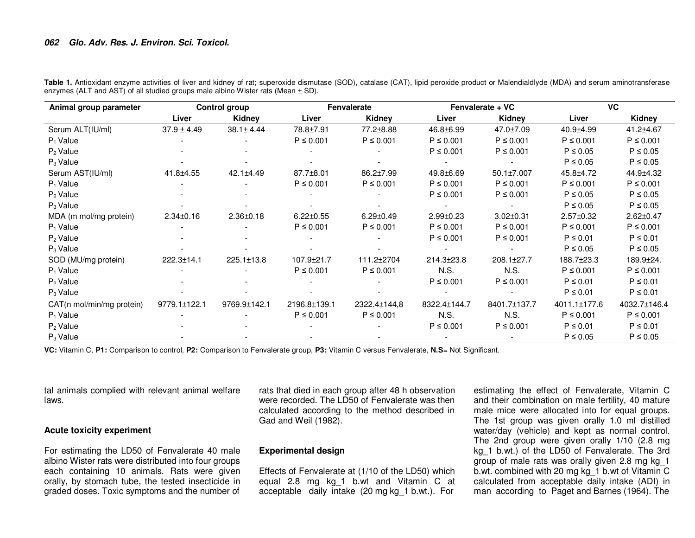## **062 Glo. Adv. Res. J. Environ. Sci. Toxicol.**

| Animal group parameter    | <b>Control group</b> |                  | Fenvalerate     |                 | Fenvalerate + VC |                  | <b>VC</b>       |                 |
|---------------------------|----------------------|------------------|-----------------|-----------------|------------------|------------------|-----------------|-----------------|
|                           | Liver                | Kidney           | Liver           | Kidney          | Liver            | Kidney           | Liver           | Kidney          |
| Serum ALT(IU/ml)          | $37.9 \pm 4.49$      | $38.1 \pm 4.44$  | 78.8±7.91       | 77.2±8.88       | 46.8±6.99        | 47.0±7.09        | 40.9±4.99       | 41.2±4.67       |
| $P_1$ Value               |                      |                  | $P \leq 0.001$  | $P \leq 0.001$  | $P \leq 0.001$   | $P \le 0.001$    | $P \le 0.001$   | $P \leq 0.001$  |
| $P_2$ Value               |                      |                  |                 |                 | $P \leq 0.001$   | $P \le 0.001$    | $P \leq 0.05$   | $P \le 0.05$    |
| $P_3$ Value               |                      |                  |                 |                 |                  |                  | $P \leq 0.05$   | $P \le 0.05$    |
| Serum AST(IU/ml)          | 41.8±4.55            | $42.1 \pm 4.49$  | 87.7±8.01       | 86.2±7.99       | 49.8±6.69        | $50.1 \pm 7.007$ | 45.8±4.72       | 44.9±4.32       |
| $P_1$ Value               |                      |                  | $P \leq 0.001$  | $P \leq 0.001$  | $P \leq 0.001$   | $P \le 0.001$    | $P \leq 0.001$  | $P \leq 0.001$  |
| $P_2$ Value               |                      |                  |                 |                 | $P \le 0.001$    | $P \le 0.001$    | $P \leq 0.05$   | $P \le 0.05$    |
| $P_3$ Value               |                      |                  |                 |                 |                  |                  | $P \leq 0.05$   | $P \le 0.05$    |
| MDA (m mol/mg protein)    | $2.34 \pm 0.16$      | $2.36 \pm 0.18$  | $6.22 \pm 0.55$ | $6.29 \pm 0.49$ | $2.99 \pm 0.23$  | $3.02 \pm 0.31$  | $2.57 \pm 0.32$ | $2.62 \pm 0.47$ |
| $P_1$ Value               |                      |                  | $P \le 0.001$   | $P \le 0.001$   | $P \le 0.001$    | $P \le 0.001$    | $P \leq 0.001$  | $P \leq 0.001$  |
| $P_2$ Value               |                      |                  |                 |                 | $P \le 0.001$    | $P \le 0.001$    | $P \leq 0.01$   | $P \leq 0.01$   |
| $P_3$ Value               |                      |                  |                 |                 |                  |                  | $P \leq 0.05$   | $P \le 0.05$    |
| SOD (MU/mg protein)       | 222.3±14.1           | $225.1 \pm 13.8$ | 107.9±21.7      | 111.2±2704      | 214.3±23.8       | 208.1±27.7       | 188.7±23.3      | $189.9 \pm 24.$ |
| $P_1$ Value               |                      |                  | $P \leq 0.001$  | $P \le 0.001$   | N.S.             | N.S.             | $P \le 0.001$   | $P \leq 0.001$  |
| $P_2$ Value               |                      |                  |                 |                 | $P \le 0.001$    | $P \le 0.001$    | $P \leq 0.01$   | $P \le 0.01$    |
| $P_3$ Value               |                      |                  |                 |                 |                  |                  | $P \leq 0.01$   | $P \leq 0.01$   |
| CAT(n mol/min/mg protein) | 9779.1±122.1         | 9769.9±142.1     | 2196.8±139.1    | 2322.4±144,8    | 8322.4±144.7     | 8401.7±137.7     | 4011.1±177.6    | 4032.7±146.4    |
| $P_1$ Value               |                      |                  | $P \le 0.001$   | $P \leq 0.001$  | N.S.             | N.S.             | $P \leq 0.001$  | $P \leq 0.001$  |
| $P_2$ Value               |                      |                  |                 |                 | $P \leq 0.001$   | $P \le 0.001$    | $P \leq 0.01$   | $P \leq 0.01$   |
| $P_3$ Value               |                      |                  |                 |                 |                  |                  | $P \leq 0.05$   | $P \le 0.05$    |

Table 1. Antioxidant enzyme activities of liver and kidney of rat; superoxide dismutase (SOD), catalase (CAT), lipid peroxide product or Malendialdlyde (MDA) and serum aminotransferase enzymes (ALT and AST) of all studied groups male albino Wister rats (Mean  $\pm$  SD).

**VC:** Vitamin C, **P1:** Comparison to control, **P2:** Comparison to Fenvalerate group, **P3:** Vitamin C versus Fenvalerate, **N.S**= Not Significant.

tal animals complied with relevant animal welfare laws.

### **Acute toxicity experiment**

For estimating the LD50 of Fenvalerate 40 male albino Wister rats were distributed into four groups each containing 10 animals. Rats were given orally, by stomach tube, the tested insecticide in graded doses. Toxic symptoms and the number of

rats that died in each group after 48 h observation were recorded. The LD50 of Fenvalerate was then calculated according to the method described in Gad and Weil (1982).

### **Experimental design**

Effects of Fenvalerate at (1/10 of the LD50) which equal 2.8 mg kg\_1 b.wt and Vitamin C at acceptable daily intake (20 mg kg\_1 b.wt.). For

estimating the effect of Fenvalerate, Vitamin C and their combination on male fertility, 40 mature male mice were allocated into for equal groups. The 1st group was given orally 1.0 ml distilled water/day (vehicle) and kept as normal control. The 2nd group were given orally 1/10 (2.8 mg kg\_1 b.wt.) of the LD50 of Fenvalerate. The 3rd group of male rats was orally given 2.8 mg kg\_1 b.wt. combined with 20 mg kg\_1 b.wt of Vitamin C calculated from acceptable daily intake (ADI) in man according to Paget and Barnes (1964). The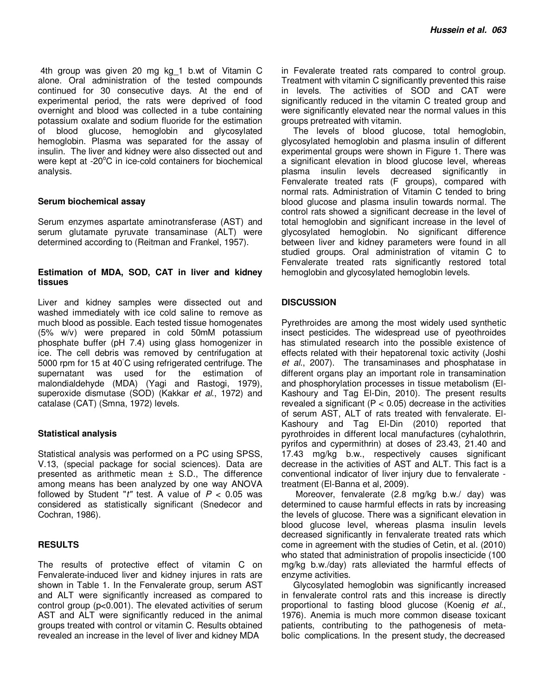4th group was given 20 mg kg\_1 b.wt of Vitamin C alone. Oral administration of the tested compounds continued for 30 consecutive days. At the end of experimental period, the rats were deprived of food overnight and blood was collected in a tube containing potassium oxalate and sodium fluoride for the estimation of blood glucose, hemoglobin and glycosylated hemoglobin. Plasma was separated for the assay of insulin. The liver and kidney were also dissected out and were kept at  $-20^{\circ}$ C in ice-cold containers for biochemical analysis.

## **Serum biochemical assay**

Serum enzymes aspartate aminotransferase (AST) and serum glutamate pyruvate transaminase (ALT) were determined according to (Reitman and Frankel, 1957).

## **Estimation of MDA, SOD, CAT in liver and kidney tissues**

Liver and kidney samples were dissected out and washed immediately with ice cold saline to remove as much blood as possible. Each tested tissue homogenates (5% w/v) were prepared in cold 50mM potassium phosphate buffer (pH 7.4) using glass homogenizer in ice. The cell debris was removed by centrifugation at 5000 rpm for 15 at 40◦C using refrigerated centrifuge. The supernatant was used for the estimation of malondialdehyde (MDA) (Yagi and Rastogi, 1979), superoxide dismutase (SOD) (Kakkar et al., 1972) and catalase (CAT) (Smna, 1972) levels.

## **Statistical analysis**

Statistical analysis was performed on a PC using SPSS, V.13, (special package for social sciences). Data are presented as arithmetic mean  $\pm$  S.D., The difference among means has been analyzed by one way ANOVA followed by Student "t" test. A value of  $P < 0.05$  was considered as statistically significant (Snedecor and Cochran, 1986).

## **RESULTS**

The results of protective effect of vitamin C on Fenvalerate-induced liver and kidney injures in rats are shown in Table 1. In the Fenvalerate group, serum AST and ALT were significantly increased as compared to control group (p<0.001). The elevated activities of serum AST and ALT were significantly reduced in the animal groups treated with control or vitamin C. Results obtained revealed an increase in the level of liver and kidney MDA

in Fevalerate treated rats compared to control group. Treatment with vitamin C significantly prevented this raise in levels. The activities of SOD and CAT were significantly reduced in the vitamin C treated group and were significantly elevated near the normal values in this groups pretreated with vitamin.

The levels of blood glucose, total hemoglobin, glycosylated hemoglobin and plasma insulin of different experimental groups were shown in Figure 1. There was a significant elevation in blood glucose level, whereas plasma insulin levels decreased significantly in Fenvalerate treated rats (F groups), compared with normal rats. Administration of Vitamin C tended to bring blood glucose and plasma insulin towards normal. The control rats showed a significant decrease in the level of total hemoglobin and significant increase in the level of glycosylated hemoglobin. No significant difference between liver and kidney parameters were found in all studied groups. Oral administration of vitamin C to Fenvalerate treated rats significantly restored total hemoglobin and glycosylated hemoglobin levels.

## **DISCUSSION**

Pyrethroides are among the most widely used synthetic insect pesticides. The widespread use of pyeothroides has stimulated research into the possible existence of effects related with their hepatorenal toxic activity (Joshi et al., 2007). The transaminases and phosphatase in different organs play an important role in transamination and phosphorylation processes in tissue metabolism (El-Kashoury and Tag El-Din, 2010). The present results revealed a significant ( $P < 0.05$ ) decrease in the activities of serum AST, ALT of rats treated with fenvalerate. El-Kashoury and Tag El-Din (2010) reported that pyrothroides in different local manufactures (cyhalothrin, pyrifos and cypermithrin) at doses of 23.43, 21.40 and 17.43 mg/kg b.w., respectively causes significant decrease in the activities of AST and ALT. This fact is a conventional indicator of liver injury due to fenvalerate treatment (El-Banna et al, 2009).

 Moreover, fenvalerate (2.8 mg/kg b.w./ day) was determined to cause harmful effects in rats by increasing the levels of glucose. There was a significant elevation in blood glucose level, whereas plasma insulin levels decreased significantly in fenvalerate treated rats which come in agreement with the studies of Cetin, et al. (2010) who stated that administration of propolis insecticide (100 mg/kg b.w./day) rats alleviated the harmful effects of enzyme activities.

Glycosylated hemoglobin was significantly increased in fenvalerate control rats and this increase is directly proportional to fasting blood glucose (Koenig et al., 1976). Anemia is much more common disease toxicant patients, contributing to the pathogenesis of metabolic complications. In the present study, the decreased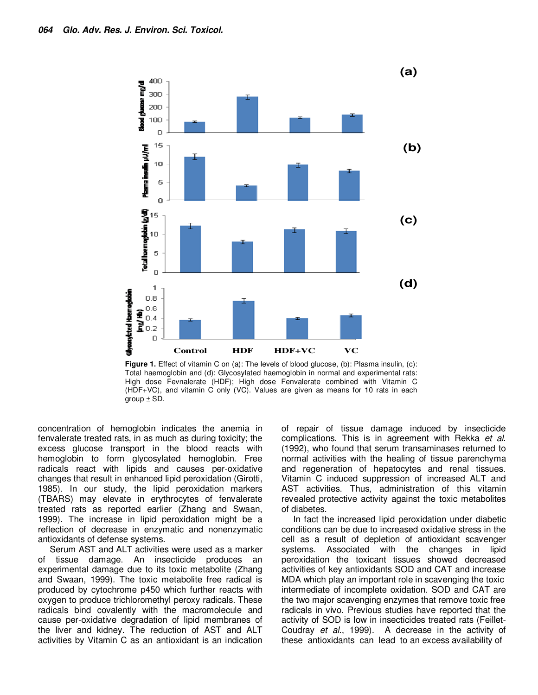

**Figure 1.** Effect of vitamin C on (a): The levels of blood glucose, (b): Plasma insulin, (c): Total haemoglobin and (d): Glycosylated haemoglobin in normal and experimental rats: High dose Fevnalerate (HDF); High dose Fenvalerate combined with Vitamin C (HDF+VC), and vitamin C only (VC). Values are given as means for 10 rats in each group  $\pm$  SD.

concentration of hemoglobin indicates the anemia in fenvalerate treated rats, in as much as during toxicity; the excess glucose transport in the blood reacts with hemoglobin to form glycosylated hemoglobin. Free radicals react with lipids and causes per-oxidative changes that result in enhanced lipid peroxidation (Girotti, 1985). In our study, the lipid peroxidation markers (TBARS) may elevate in erythrocytes of fenvalerate treated rats as reported earlier (Zhang and Swaan, 1999). The increase in lipid peroxidation might be a reflection of decrease in enzymatic and nonenzymatic antioxidants of defense systems.

Serum AST and ALT activities were used as a marker of tissue damage. An insecticide produces an experimental damage due to its toxic metabolite (Zhang and Swaan, 1999). The toxic metabolite free radical is produced by cytochrome p450 which further reacts with oxygen to produce trichloromethyl peroxy radicals. These radicals bind covalently with the macromolecule and cause per-oxidative degradation of lipid membranes of the liver and kidney. The reduction of AST and ALT activities by Vitamin C as an antioxidant is an indication

of repair of tissue damage induced by insecticide complications. This is in agreement with Rekka et al. (1992), who found that serum transaminases returned to normal activities with the healing of tissue parenchyma and regeneration of hepatocytes and renal tissues. Vitamin C induced suppression of increased ALT and AST activities. Thus, administration of this vitamin revealed protective activity against the toxic metabolites of diabetes.

In fact the increased lipid peroxidation under diabetic conditions can be due to increased oxidative stress in the cell as a result of depletion of antioxidant scavenger systems. Associated with the changes in lipid peroxidation the toxicant tissues showed decreased activities of key antioxidants SOD and CAT and increase MDA which play an important role in scavenging the toxic intermediate of incomplete oxidation. SOD and CAT are the two major scavenging enzymes that remove toxic free radicals in vivo. Previous studies have reported that the activity of SOD is low in insecticides treated rats (Feillet-Coudray et al., 1999). A decrease in the activity of these antioxidants can lead to an excess availability of